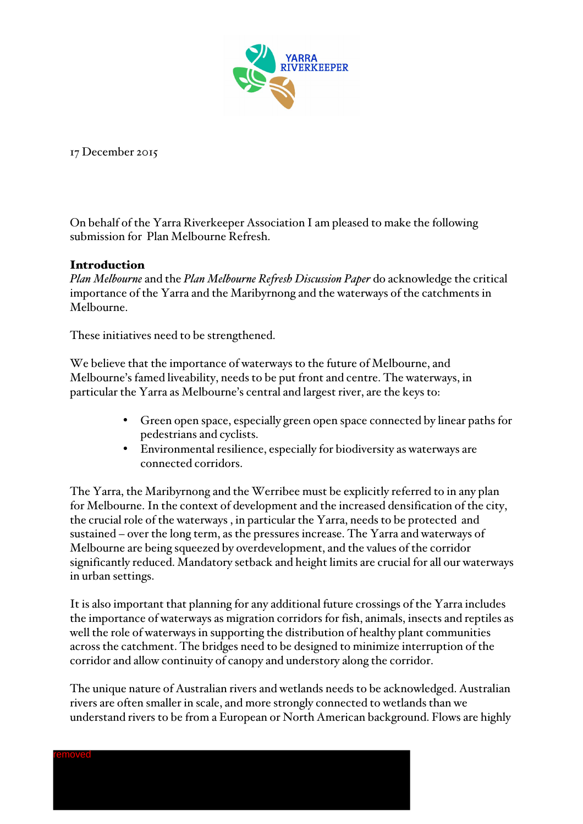

17 December 2015

On behalf of the Yarra Riverkeeper Association I am pleased to make the following submission for Plan Melbourne Refresh.

## Introduction

*Plan Melbourne* and the *Plan Melbourne Refresh Discussion Paper* do acknowledge the critical importance of the Yarra and the Maribyrnong and the waterways of the catchments in Melbourne.

These initiatives need to be strengthened.

We believe that the importance of waterways to the future of Melbourne, and Melbourne's famed liveability, needs to be put front and centre. The waterways, in particular the Yarra as Melbourne's central and largest river, are the keys to:

- Green open space, especially green open space connected by linear paths for pedestrians and cyclists.
- Environmental resilience, especially for biodiversity as waterways are connected corridors.

The Yarra, the Maribyrnong and the Werribee must be explicitly referred to in any plan for Melbourne. In the context of development and the increased densification of the city, the crucial role of the waterways , in particular the Yarra, needs to be protected and sustained – over the long term, as the pressures increase. The Yarra and waterways of Melbourne are being squeezed by overdevelopment, and the values of the corridor significantly reduced. Mandatory setback and height limits are crucial for all our waterways in urban settings.

It is also important that planning for any additional future crossings of the Yarra includes the importance of waterways as migration corridors for fish, animals, insects and reptiles as well the role of waterways in supporting the distribution of healthy plant communities across the catchment. The bridges need to be designed to minimize interruption of the corridor and allow continuity of canopy and understory along the corridor.

The unique nature of Australian rivers and wetlands needs to be acknowledged. Australian rivers are often smaller in scale, and more strongly connected to wetlands than we understand rivers to be from a European or North American background. Flows are highly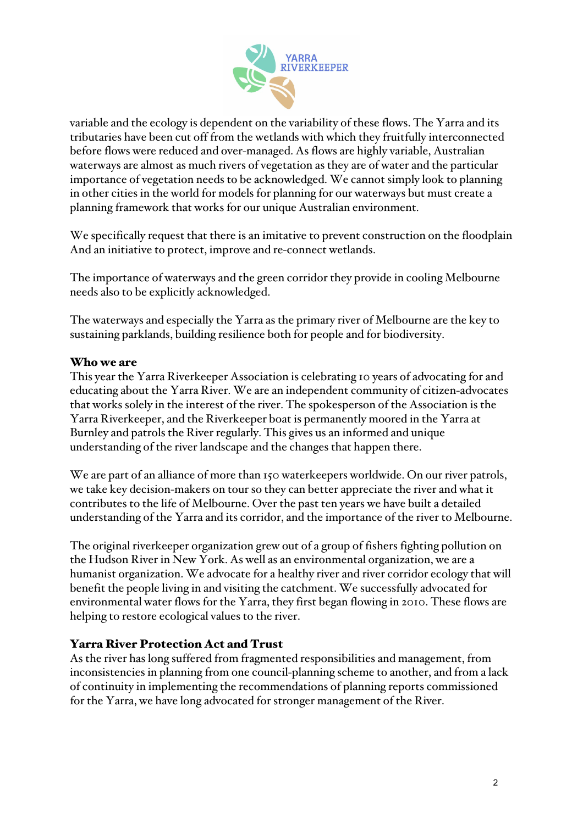

variable and the ecology is dependent on the variability of these flows. The Yarra and its tributaries have been cut off from the wetlands with which they fruitfully interconnected before flows were reduced and over-managed. As flows are highly variable, Australian waterways are almost as much rivers of vegetation as they are of water and the particular importance of vegetation needs to be acknowledged. We cannot simply look to planning in other cities in the world for models for planning for our waterways but must create a planning framework that works for our unique Australian environment.

We specifically request that there is an imitative to prevent construction on the floodplain And an initiative to protect, improve and re-connect wetlands.

The importance of waterways and the green corridor they provide in cooling Melbourne needs also to be explicitly acknowledged.

The waterways and especially the Yarra as the primary river of Melbourne are the key to sustaining parklands, building resilience both for people and for biodiversity.

## Who we are

This year the Yarra Riverkeeper Association is celebrating 10 years of advocating for and educating about the Yarra River. We are an independent community of citizen-advocates that works solely in the interest of the river. The spokesperson of the Association is the Yarra Riverkeeper, and the Riverkeeper boat is permanently moored in the Yarra at Burnley and patrols the River regularly. This gives us an informed and unique understanding of the river landscape and the changes that happen there.

We are part of an alliance of more than 150 waterkeepers worldwide. On our river patrols, we take key decision-makers on tour so they can better appreciate the river and what it contributes to the life of Melbourne. Over the past ten years we have built a detailed understanding of the Yarra and its corridor, and the importance of the river to Melbourne.

The original riverkeeper organization grew out of a group of fishers fighting pollution on the Hudson River in New York. As well as an environmental organization, we are a humanist organization. We advocate for a healthy river and river corridor ecology that will benefit the people living in and visiting the catchment. We successfully advocated for environmental water flows for the Yarra, they first began flowing in 2010. These flows are helping to restore ecological values to the river.

# Yarra River Protection Act and Trust

As the river has long suffered from fragmented responsibilities and management, from inconsistencies in planning from one council-planning scheme to another, and from a lack of continuity in implementing the recommendations of planning reports commissioned for the Yarra, we have long advocated for stronger management of the River.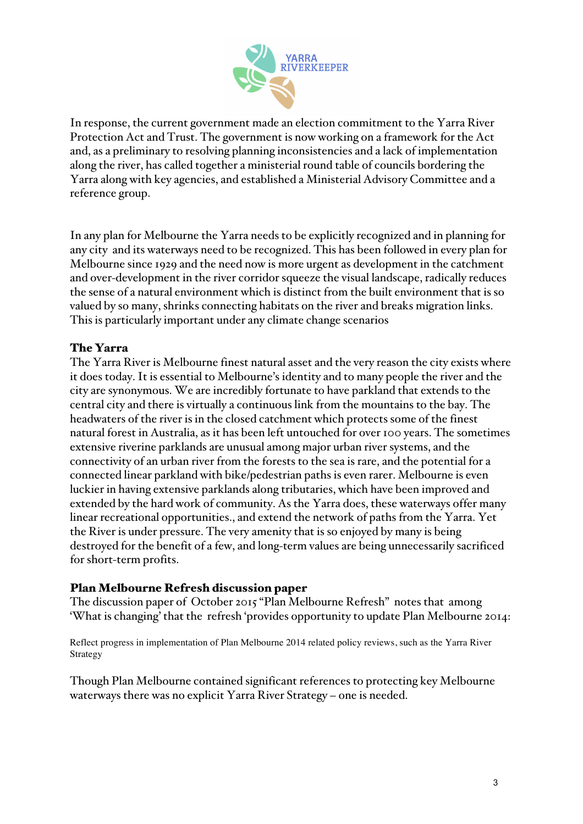

In response, the current government made an election commitment to the Yarra River Protection Act and Trust. The government is now working on a framework for the Act and, as a preliminary to resolving planning inconsistencies and a lack of implementation along the river, has called together a ministerial round table of councils bordering the Yarra along with key agencies, and established a Ministerial Advisory Committee and a reference group.

In any plan for Melbourne the Yarra needs to be explicitly recognized and in planning for any city and its waterways need to be recognized. This has been followed in every plan for Melbourne since 1929 and the need now is more urgent as development in the catchment and over-development in the river corridor squeeze the visual landscape, radically reduces the sense of a natural environment which is distinct from the built environment that is so valued by so many, shrinks connecting habitats on the river and breaks migration links. This is particularly important under any climate change scenarios

## The Yarra

The Yarra River is Melbourne finest natural asset and the very reason the city exists where it does today. It is essential to Melbourne's identity and to many people the river and the city are synonymous. We are incredibly fortunate to have parkland that extends to the central city and there is virtually a continuous link from the mountains to the bay. The headwaters of the river is in the closed catchment which protects some of the finest natural forest in Australia, as it has been left untouched for over 100 years. The sometimes extensive riverine parklands are unusual among major urban river systems, and the connectivity of an urban river from the forests to the sea is rare, and the potential for a connected linear parkland with bike/pedestrian paths is even rarer. Melbourne is even luckier in having extensive parklands along tributaries, which have been improved and extended by the hard work of community. As the Yarra does, these waterways offer many linear recreational opportunities., and extend the network of paths from the Yarra. Yet the River is under pressure. The very amenity that is so enjoyed by many is being destroyed for the benefit of a few, and long-term values are being unnecessarily sacrificed for short-term profits.

## Plan Melbourne Refresh discussion paper

The discussion paper of October 2015 "Plan Melbourne Refresh" notes that among 'What is changing' that the refresh 'provides opportunity to update Plan Melbourne 2014:

Reflect progress in implementation of Plan Melbourne 2014 related policy reviews, such as the Yarra River Strategy

Though Plan Melbourne contained significant references to protecting key Melbourne waterways there was no explicit Yarra River Strategy – one is needed.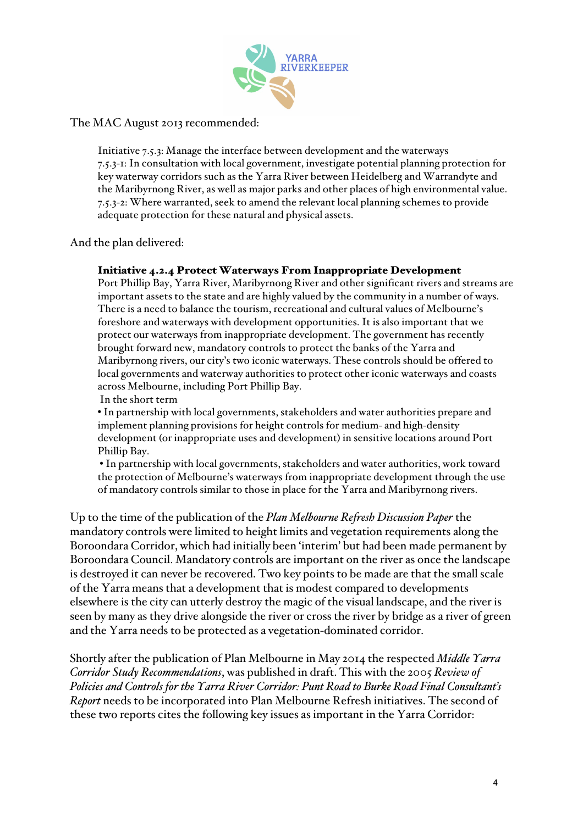

The MAC August 2013 recommended:

Initiative 7.5.3: Manage the interface between development and the waterways 7.5.3-1: In consultation with local government, investigate potential planning protection for key waterway corridors such as the Yarra River between Heidelberg and Warrandyte and the Maribyrnong River, as well as major parks and other places of high environmental value. 7.5.3-2: Where warranted, seek to amend the relevant local planning schemes to provide adequate protection for these natural and physical assets.

And the plan delivered:

### Initiative 4.2.4 Protect Waterways From Inappropriate Development

Port Phillip Bay, Yarra River, Maribyrnong River and other significant rivers and streams are important assets to the state and are highly valued by the community in a number of ways. There is a need to balance the tourism, recreational and cultural values of Melbourne's foreshore and waterways with development opportunities. It is also important that we protect our waterways from inappropriate development. The government has recently brought forward new, mandatory controls to protect the banks of the Yarra and Maribyrnong rivers, our city's two iconic waterways. These controls should be offered to local governments and waterway authorities to protect other iconic waterways and coasts across Melbourne, including Port Phillip Bay.

In the short term

• In partnership with local governments, stakeholders and water authorities prepare and implement planning provisions for height controls for medium- and high-density development (or inappropriate uses and development) in sensitive locations around Port Phillip Bay.

• In partnership with local governments, stakeholders and water authorities, work toward the protection of Melbourne's waterways from inappropriate development through the use of mandatory controls similar to those in place for the Yarra and Maribyrnong rivers.

Up to the time of the publication of the *Plan Melbourne Refresh Discussion Paper* the mandatory controls were limited to height limits and vegetation requirements along the Boroondara Corridor, which had initially been 'interim' but had been made permanent by Boroondara Council. Mandatory controls are important on the river as once the landscape is destroyed it can never be recovered. Two key points to be made are that the small scale of the Yarra means that a development that is modest compared to developments elsewhere is the city can utterly destroy the magic of the visual landscape, and the river is seen by many as they drive alongside the river or cross the river by bridge as a river of green and the Yarra needs to be protected as a vegetation-dominated corridor.

Shortly after the publication of Plan Melbourne in May 2014 the respected *Middle Yarra Corridor Study Recommendations*, was published in draft. This with the 2005 *Review of Policies and Controls for the Yarra River Corridor: Punt Road to Burke Road Final Consultant's Report* needs to be incorporated into Plan Melbourne Refresh initiatives. The second of these two reports cites the following key issues as important in the Yarra Corridor: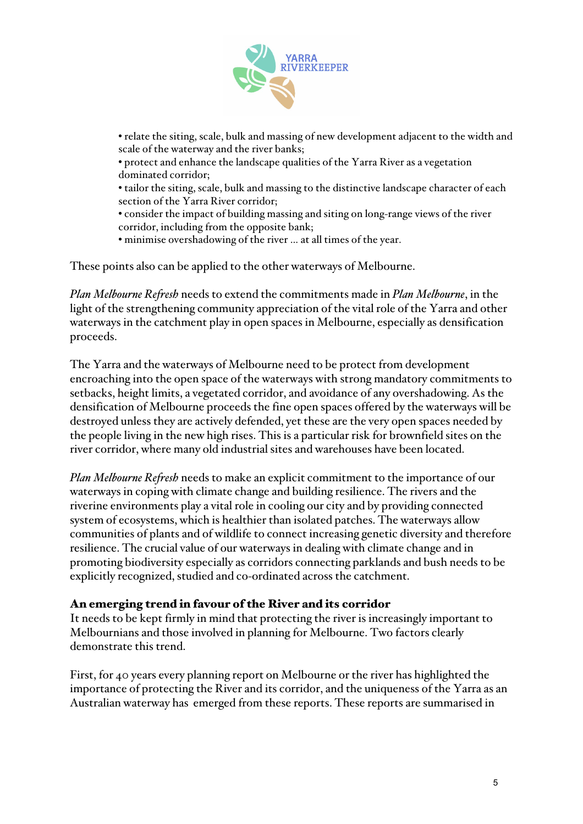

• relate the siting, scale, bulk and massing of new development adjacent to the width and scale of the waterway and the river banks;

• protect and enhance the landscape qualities of the Yarra River as a vegetation dominated corridor;

• tailor the siting, scale, bulk and massing to the distinctive landscape character of each section of the Yarra River corridor;

• consider the impact of building massing and siting on long-range views of the river corridor, including from the opposite bank;

• minimise overshadowing of the river … at all times of the year.

These points also can be applied to the other waterways of Melbourne.

*Plan Melbourne Refresh* needs to extend the commitments made in *Plan Melbourne*, in the light of the strengthening community appreciation of the vital role of the Yarra and other waterways in the catchment play in open spaces in Melbourne, especially as densification proceeds.

The Yarra and the waterways of Melbourne need to be protect from development encroaching into the open space of the waterways with strong mandatory commitments to setbacks, height limits, a vegetated corridor, and avoidance of any overshadowing. As the densification of Melbourne proceeds the fine open spaces offered by the waterways will be destroyed unless they are actively defended, yet these are the very open spaces needed by the people living in the new high rises. This is a particular risk for brownfield sites on the river corridor, where many old industrial sites and warehouses have been located.

*Plan Melbourne Refresh* needs to make an explicit commitment to the importance of our waterways in coping with climate change and building resilience. The rivers and the riverine environments play a vital role in cooling our city and by providing connected system of ecosystems, which is healthier than isolated patches. The waterways allow communities of plants and of wildlife to connect increasing genetic diversity and therefore resilience. The crucial value of our waterways in dealing with climate change and in promoting biodiversity especially as corridors connecting parklands and bush needs to be explicitly recognized, studied and co-ordinated across the catchment.

### An emerging trend in favour of the River and its corridor

It needs to be kept firmly in mind that protecting the river is increasingly important to Melbournians and those involved in planning for Melbourne. Two factors clearly demonstrate this trend.

First, for 40 years every planning report on Melbourne or the river has highlighted the importance of protecting the River and its corridor, and the uniqueness of the Yarra as an Australian waterway has emerged from these reports. These reports are summarised in